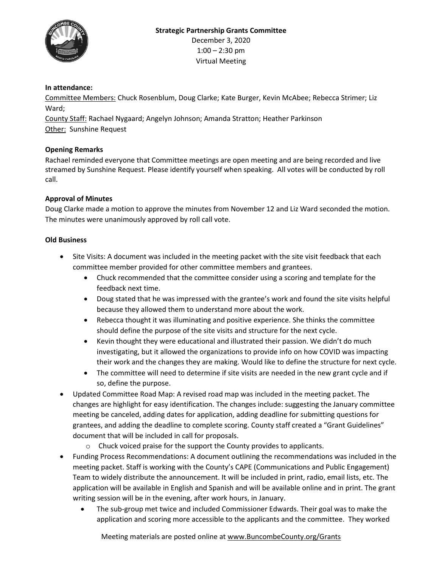

## **In attendance:**

Committee Members: Chuck Rosenblum, Doug Clarke; Kate Burger, Kevin McAbee; Rebecca Strimer; Liz Ward;

County Staff: Rachael Nygaard; Angelyn Johnson; Amanda Stratton; Heather Parkinson Other: Sunshine Request

## **Opening Remarks**

Rachael reminded everyone that Committee meetings are open meeting and are being recorded and live streamed by Sunshine Request. Please identify yourself when speaking. All votes will be conducted by roll call.

## **Approval of Minutes**

Doug Clarke made a motion to approve the minutes from November 12 and Liz Ward seconded the motion. The minutes were unanimously approved by roll call vote.

## **Old Business**

- Site Visits: A document was included in the meeting packet with the site visit feedback that each committee member provided for other committee members and grantees.
	- Chuck recommended that the committee consider using a scoring and template for the feedback next time.
	- Doug stated that he was impressed with the grantee's work and found the site visits helpful because they allowed them to understand more about the work.
	- Rebecca thought it was illuminating and positive experience. She thinks the committee should define the purpose of the site visits and structure for the next cycle.
	- Kevin thought they were educational and illustrated their passion. We didn't do much investigating, but it allowed the organizations to provide info on how COVID was impacting their work and the changes they are making. Would like to define the structure for next cycle.
	- The committee will need to determine if site visits are needed in the new grant cycle and if so, define the purpose.
- Updated Committee Road Map: A revised road map was included in the meeting packet. The changes are highlight for easy identification. The changes include: suggesting the January committee meeting be canceled, adding dates for application, adding deadline for submitting questions for grantees, and adding the deadline to complete scoring. County staff created a "Grant Guidelines" document that will be included in call for proposals.
	- o Chuck voiced praise for the support the County provides to applicants.
- Funding Process Recommendations: A document outlining the recommendations was included in the meeting packet. Staff is working with the County's CAPE (Communications and Public Engagement) Team to widely distribute the announcement. It will be included in print, radio, email lists, etc. The application will be available in English and Spanish and will be available online and in print. The grant writing session will be in the evening, after work hours, in January.
	- The sub-group met twice and included Commissioner Edwards. Their goal was to make the application and scoring more accessible to the applicants and the committee. They worked

Meeting materials are posted online a[t www.BuncombeCounty.org/Grants](http://www.buncombecounty.org/Grants)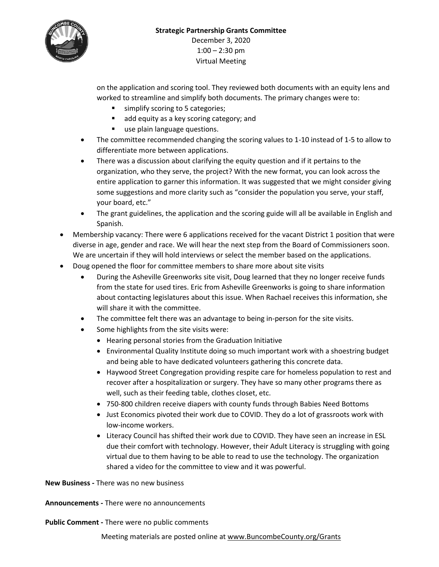

on the application and scoring tool. They reviewed both documents with an equity lens and worked to streamline and simplify both documents. The primary changes were to:

- simplify scoring to 5 categories;
- add equity as a key scoring category; and
- **use plain language questions.**
- The committee recommended changing the scoring values to 1-10 instead of 1-5 to allow to differentiate more between applications.
- There was a discussion about clarifying the equity question and if it pertains to the organization, who they serve, the project? With the new format, you can look across the entire application to garner this information. It was suggested that we might consider giving some suggestions and more clarity such as "consider the population you serve, your staff, your board, etc."
- The grant guidelines, the application and the scoring guide will all be available in English and Spanish.
- Membership vacancy: There were 6 applications received for the vacant District 1 position that were diverse in age, gender and race. We will hear the next step from the Board of Commissioners soon. We are uncertain if they will hold interviews or select the member based on the applications.
- Doug opened the floor for committee members to share more about site visits
	- During the Asheville Greenworks site visit, Doug learned that they no longer receive funds from the state for used tires. Eric from Asheville Greenworks is going to share information about contacting legislatures about this issue. When Rachael receives this information, she will share it with the committee.
	- The committee felt there was an advantage to being in-person for the site visits.
	- Some highlights from the site visits were:
		- Hearing personal stories from the Graduation Initiative
		- Environmental Quality Institute doing so much important work with a shoestring budget and being able to have dedicated volunteers gathering this concrete data.
		- Haywood Street Congregation providing respite care for homeless population to rest and recover after a hospitalization or surgery. They have so many other programs there as well, such as their feeding table, clothes closet, etc.
		- 750-800 children receive diapers with county funds through Babies Need Bottoms
		- Just Economics pivoted their work due to COVID. They do a lot of grassroots work with low-income workers.
		- Literacy Council has shifted their work due to COVID. They have seen an increase in ESL due their comfort with technology. However, their Adult Literacy is struggling with going virtual due to them having to be able to read to use the technology. The organization shared a video for the committee to view and it was powerful.

**New Business -** There was no new business

**Announcements -** There were no announcements

**Public Comment -** There were no public comments

Meeting materials are posted online a[t www.BuncombeCounty.org/Grants](http://www.buncombecounty.org/Grants)